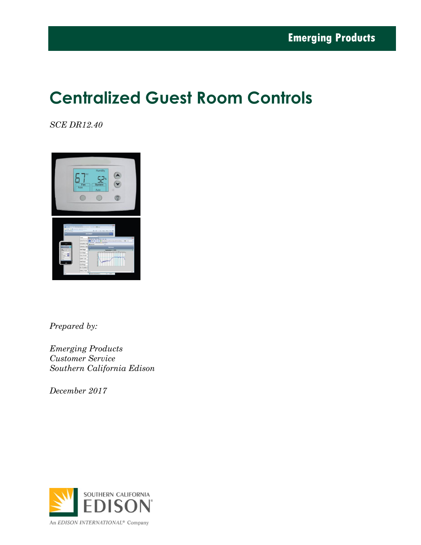# **Centralized Guest Room Controls**

*SCE DR12.40* 



*Prepared by:*

*Emerging Products Customer Service Southern California Edison*

*December 2017*

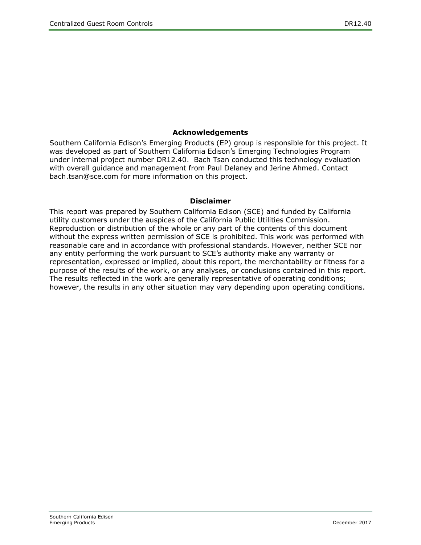#### **Acknowledgements**

Southern California Edison's Emerging Products (EP) group is responsible for this project. It was developed as part of Southern California Edison's Emerging Technologies Program under internal project number DR12.40. Bach Tsan conducted this technology evaluation with overall guidance and management from Paul Delaney and Jerine Ahmed. Contact bach.tsan@sce.com for more information on this project.

#### **Disclaimer**

This report was prepared by Southern California Edison (SCE) and funded by California utility customers under the auspices of the California Public Utilities Commission. Reproduction or distribution of the whole or any part of the contents of this document without the express written permission of SCE is prohibited. This work was performed with reasonable care and in accordance with professional standards. However, neither SCE nor any entity performing the work pursuant to SCE's authority make any warranty or representation, expressed or implied, about this report, the merchantability or fitness for a purpose of the results of the work, or any analyses, or conclusions contained in this report. The results reflected in the work are generally representative of operating conditions; however, the results in any other situation may vary depending upon operating conditions.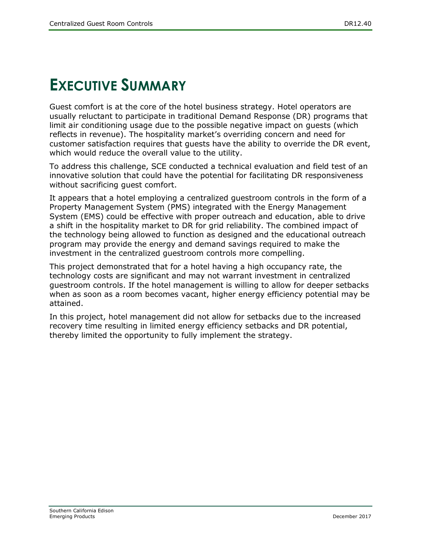# <span id="page-2-0"></span>**EXECUTIVE SUMMARY**

Guest comfort is at the core of the hotel business strategy. Hotel operators are usually reluctant to participate in traditional Demand Response (DR) programs that limit air conditioning usage due to the possible negative impact on guests (which reflects in revenue). The hospitality market's overriding concern and need for customer satisfaction requires that guests have the ability to override the DR event, which would reduce the overall value to the utility.

To address this challenge, SCE conducted a technical evaluation and field test of an innovative solution that could have the potential for facilitating DR responsiveness without sacrificing guest comfort.

It appears that a hotel employing a centralized guestroom controls in the form of a Property Management System (PMS) integrated with the Energy Management System (EMS) could be effective with proper outreach and education, able to drive a shift in the hospitality market to DR for grid reliability. The combined impact of the technology being allowed to function as designed and the educational outreach program may provide the energy and demand savings required to make the investment in the centralized guestroom controls more compelling.

This project demonstrated that for a hotel having a high occupancy rate, the technology costs are significant and may not warrant investment in centralized guestroom controls. If the hotel management is willing to allow for deeper setbacks when as soon as a room becomes vacant, higher energy efficiency potential may be attained.

In this project, hotel management did not allow for setbacks due to the increased recovery time resulting in limited energy efficiency setbacks and DR potential, thereby limited the opportunity to fully implement the strategy.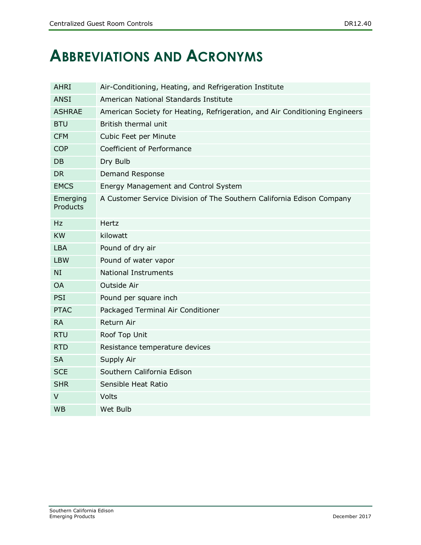# <span id="page-3-0"></span>**ABBREVIATIONS AND ACRONYMS**

| <b>AHRI</b>          | Air-Conditioning, Heating, and Refrigeration Institute                      |  |  |
|----------------------|-----------------------------------------------------------------------------|--|--|
| <b>ANSI</b>          | American National Standards Institute                                       |  |  |
| <b>ASHRAE</b>        | American Society for Heating, Refrigeration, and Air Conditioning Engineers |  |  |
| <b>BTU</b>           | British thermal unit                                                        |  |  |
| <b>CFM</b>           | Cubic Feet per Minute                                                       |  |  |
| <b>COP</b>           | Coefficient of Performance                                                  |  |  |
| DB                   | Dry Bulb                                                                    |  |  |
| <b>DR</b>            | Demand Response                                                             |  |  |
| <b>EMCS</b>          | Energy Management and Control System                                        |  |  |
| Emerging<br>Products | A Customer Service Division of The Southern California Edison Company       |  |  |
| Hz.                  | Hertz                                                                       |  |  |
| <b>KW</b>            | kilowatt                                                                    |  |  |
| <b>LBA</b>           | Pound of dry air                                                            |  |  |
| <b>LBW</b>           | Pound of water vapor                                                        |  |  |
| NI                   | <b>National Instruments</b>                                                 |  |  |
| <b>OA</b>            | Outside Air                                                                 |  |  |
| <b>PSI</b>           | Pound per square inch                                                       |  |  |
| <b>PTAC</b>          | Packaged Terminal Air Conditioner                                           |  |  |
| <b>RA</b>            | Return Air                                                                  |  |  |
| <b>RTU</b>           | Roof Top Unit                                                               |  |  |
| <b>RTD</b>           | Resistance temperature devices                                              |  |  |
| <b>SA</b>            | Supply Air                                                                  |  |  |
| <b>SCE</b>           | Southern California Edison                                                  |  |  |
| <b>SHR</b>           | Sensible Heat Ratio                                                         |  |  |
| $\vee$               | Volts                                                                       |  |  |
| <b>WB</b>            | Wet Bulb                                                                    |  |  |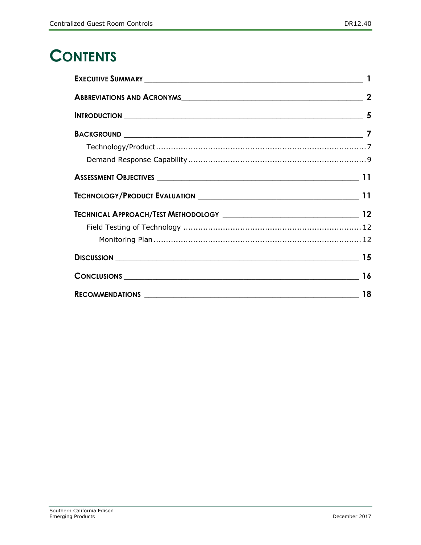# **CONTENTS**

| ABBREVIATIONS AND ACRONYMS 2 |  |  |  |
|------------------------------|--|--|--|
|                              |  |  |  |
|                              |  |  |  |
|                              |  |  |  |
|                              |  |  |  |
|                              |  |  |  |
|                              |  |  |  |
|                              |  |  |  |
|                              |  |  |  |
|                              |  |  |  |
|                              |  |  |  |
| CONCLUSIONS 16               |  |  |  |
|                              |  |  |  |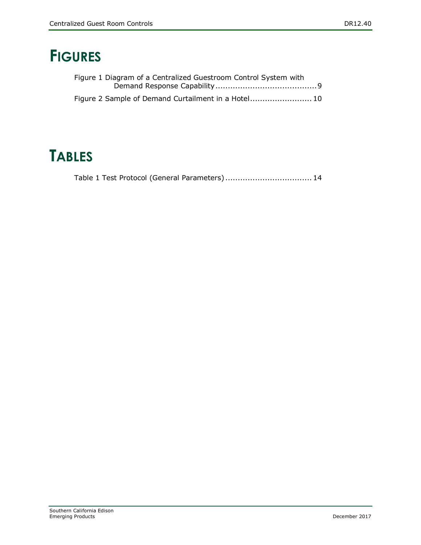# **FIGURES**

| Figure 1 Diagram of a Centralized Guestroom Control System with |  |
|-----------------------------------------------------------------|--|
|                                                                 |  |
|                                                                 |  |

# **TABLES**

|  | Table 1 Test Protocol (General Parameters) 14 |
|--|-----------------------------------------------|
|  |                                               |
|  |                                               |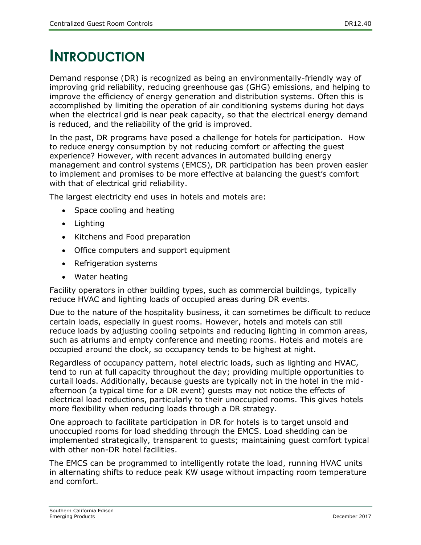# <span id="page-6-0"></span>**INTRODUCTION**

Demand response (DR) is recognized as being an environmentally-friendly way of improving grid reliability, reducing greenhouse gas (GHG) emissions, and helping to improve the efficiency of energy generation and distribution systems. Often this is accomplished by limiting the operation of air conditioning systems during hot days when the electrical grid is near peak capacity, so that the electrical energy demand is reduced, and the reliability of the grid is improved.

In the past, DR programs have posed a challenge for hotels for participation. How to reduce energy consumption by not reducing comfort or affecting the guest experience? However, with recent advances in automated building energy management and control systems (EMCS), DR participation has been proven easier to implement and promises to be more effective at balancing the guest's comfort with that of electrical grid reliability.

The largest electricity end uses in hotels and motels are:

- Space cooling and heating
- Lighting
- Kitchens and Food preparation
- Office computers and support equipment
- Refrigeration systems
- Water heating

Facility operators in other building types, such as commercial buildings, typically reduce HVAC and lighting loads of occupied areas during DR events.

Due to the nature of the hospitality business, it can sometimes be difficult to reduce certain loads, especially in guest rooms. However, hotels and motels can still reduce loads by adjusting cooling setpoints and reducing lighting in common areas, such as atriums and empty conference and meeting rooms. Hotels and motels are occupied around the clock, so occupancy tends to be highest at night.

Regardless of occupancy pattern, hotel electric loads, such as lighting and HVAC, tend to run at full capacity throughout the day; providing multiple opportunities to curtail loads. Additionally, because guests are typically not in the hotel in the midafternoon (a typical time for a DR event) guests may not notice the effects of electrical load reductions, particularly to their unoccupied rooms. This gives hotels more flexibility when reducing loads through a DR strategy.

One approach to facilitate participation in DR for hotels is to target unsold and unoccupied rooms for load shedding through the EMCS. Load shedding can be implemented strategically, transparent to guests; maintaining guest comfort typical with other non-DR hotel facilities.

The EMCS can be programmed to intelligently rotate the load, running HVAC units in alternating shifts to reduce peak KW usage without impacting room temperature and comfort.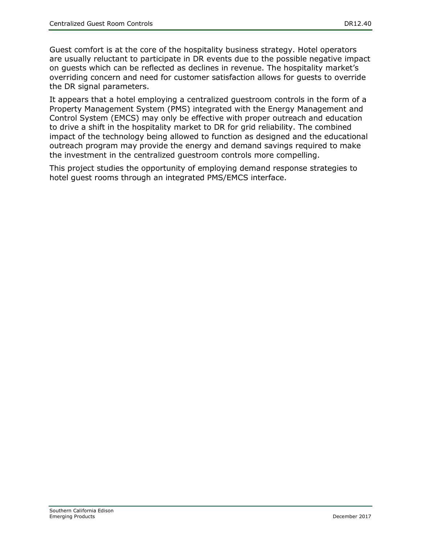Guest comfort is at the core of the hospitality business strategy. Hotel operators are usually reluctant to participate in DR events due to the possible negative impact on guests which can be reflected as declines in revenue. The hospitality market's overriding concern and need for customer satisfaction allows for guests to override the DR signal parameters.

It appears that a hotel employing a centralized guestroom controls in the form of a Property Management System (PMS) integrated with the Energy Management and Control System (EMCS) may only be effective with proper outreach and education to drive a shift in the hospitality market to DR for grid reliability. The combined impact of the technology being allowed to function as designed and the educational outreach program may provide the energy and demand savings required to make the investment in the centralized guestroom controls more compelling.

This project studies the opportunity of employing demand response strategies to hotel guest rooms through an integrated PMS/EMCS interface.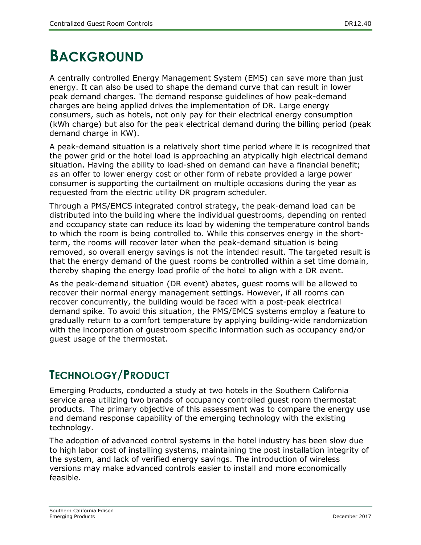## <span id="page-8-0"></span>**BACKGROUND**

A centrally controlled Energy Management System (EMS) can save more than just energy. It can also be used to shape the demand curve that can result in lower peak demand charges. The demand response guidelines of how peak-demand charges are being applied drives the implementation of DR. Large energy consumers, such as hotels, not only pay for their electrical energy consumption (kWh charge) but also for the peak electrical demand during the billing period (peak demand charge in KW).

A peak-demand situation is a relatively short time period where it is recognized that the power grid or the hotel load is approaching an atypically high electrical demand situation. Having the ability to load-shed on demand can have a financial benefit; as an offer to lower energy cost or other form of rebate provided a large power consumer is supporting the curtailment on multiple occasions during the year as requested from the electric utility DR program scheduler.

Through a PMS/EMCS integrated control strategy, the peak-demand load can be distributed into the building where the individual guestrooms, depending on rented and occupancy state can reduce its load by widening the temperature control bands to which the room is being controlled to. While this conserves energy in the shortterm, the rooms will recover later when the peak-demand situation is being removed, so overall energy savings is not the intended result. The targeted result is that the energy demand of the guest rooms be controlled within a set time domain, thereby shaping the energy load profile of the hotel to align with a DR event.

As the peak-demand situation (DR event) abates, guest rooms will be allowed to recover their normal energy management settings. However, if all rooms can recover concurrently, the building would be faced with a post-peak electrical demand spike. To avoid this situation, the PMS/EMCS systems employ a feature to gradually return to a comfort temperature by applying building-wide randomization with the incorporation of guestroom specific information such as occupancy and/or guest usage of the thermostat.

### <span id="page-8-1"></span>**TECHNOLOGY/PRODUCT**

Emerging Products, conducted a study at two hotels in the Southern California service area utilizing two brands of occupancy controlled guest room thermostat products. The primary objective of this assessment was to compare the energy use and demand response capability of the emerging technology with the existing technology.

The adoption of advanced control systems in the hotel industry has been slow due to high labor cost of installing systems, maintaining the post installation integrity of the system, and lack of verified energy savings. The introduction of wireless versions may make advanced controls easier to install and more economically feasible.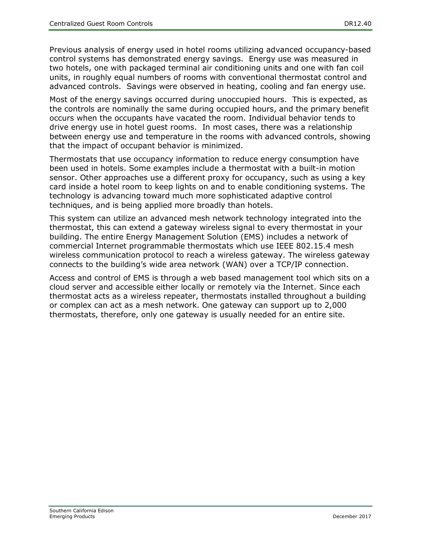Previous analysis of energy used in hotel rooms utilizing advanced occupancy-based control systems has demonstrated energy savings. Energy use was measured in two hotels, one with packaged terminal air conditioning units and one with fan coil units, in roughly equal numbers of rooms with conventional thermostat control and advanced controls. Savings were observed in heating, cooling and fan energy use.

Most of the energy savings occurred during unoccupied hours. This is expected, as the controls are nominally the same during occupied hours, and the primary benefit occurs when the occupants have vacated the room. Individual behavior tends to drive energy use in hotel guest rooms. In most cases, there was a relationship between energy use and temperature in the rooms with advanced controls, showing that the impact of occupant behavior is minimized.

Thermostats that use occupancy information to reduce energy consumption have been used in hotels. Some examples include a thermostat with a built-in motion sensor. Other approaches use a different proxy for occupancy, such as using a key card inside a hotel room to keep lights on and to enable conditioning systems. The technology is advancing toward much more sophisticated adaptive control techniques, and is being applied more broadly than hotels.

This system can utilize an advanced mesh network technology integrated into the thermostat, this can extend a gateway wireless signal to every thermostat in your building. The entire Energy Management Solution (EMS) includes a network of commercial Internet programmable thermostats which use IEEE 802.15.4 mesh wireless communication protocol to reach a wireless gateway. The wireless gateway connects to the building's wide area network (WAN) over a TCP/IP connection.

Access and control of EMS is through a web based management tool which sits on a cloud server and accessible either locally or remotely via the Internet. Since each thermostat acts as a wireless repeater, thermostats installed throughout a building or complex can act as a mesh network. One gateway can support up to 2,000 thermostats, therefore, only one gateway is usually needed for an entire site.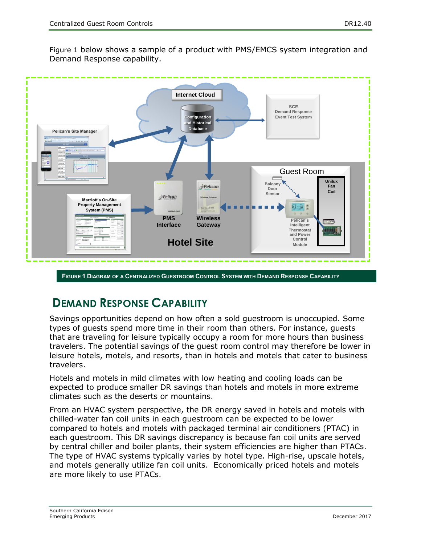[Figure 1](#page-10-1) below shows a sample of a product with PMS/EMCS system integration and Demand Response capability.



<span id="page-10-1"></span>**FIGURE 1 DIAGRAM OF A CENTRALIZED GUESTROOM CONTROL SYSTEM WITH DEMAND RESPONSE CAPABILITY**

## <span id="page-10-0"></span>**DEMAND RESPONSE CAPABILITY**

Savings opportunities depend on how often a sold guestroom is unoccupied. Some types of guests spend more time in their room than others. For instance, guests that are traveling for leisure typically occupy a room for more hours than business travelers. The potential savings of the guest room control may therefore be lower in leisure hotels, motels, and resorts, than in hotels and motels that cater to business travelers.

Hotels and motels in mild climates with low heating and cooling loads can be expected to produce smaller DR savings than hotels and motels in more extreme climates such as the deserts or mountains.

From an HVAC system perspective, the DR energy saved in hotels and motels with chilled-water fan coil units in each guestroom can be expected to be lower compared to hotels and motels with packaged terminal air conditioners (PTAC) in each guestroom. This DR savings discrepancy is because fan coil units are served by central chiller and boiler plants, their system efficiencies are higher than PTACs. The type of HVAC systems typically varies by hotel type. High-rise, upscale hotels, and motels generally utilize fan coil units. Economically priced hotels and motels are more likely to use PTACs.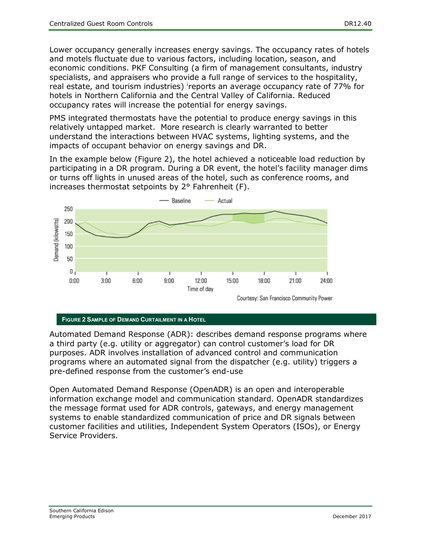Lower occupancy generally increases energy savings. The occupancy rates of hotels and motels fluctuate due to various factors, including location, season, and economic conditions. PKF Consulting (a firm of management consultants, industry specialists, and appraisers who provide a full range of services to the hospitality, real estate, and tourism industries) reports an average occupancy rate of 77% for hotels in Northern California and the Central Valley of California. Reduced occupancy rates will increase the potential for energy savings.

PMS integrated thermostats have the potential to produce energy savings in this relatively untapped market. More research is clearly warranted to better understand the interactions between HVAC systems, lighting systems, and the impacts of occupant behavior on energy savings and DR.

In the example below (Figure 2), the hotel achieved a noticeable load reduction by participating in a DR program. During a DR event, the hotel's facility manager dims or turns off lights in unused areas of the hotel, such as conference rooms, and increases thermostat setpoints by 2° Fahrenheit (F).



#### <span id="page-11-0"></span>**FIGURE 2 SAMPLE OF DEMAND CURTAILMENT IN A HOTEL**

Automated Demand Response (ADR): describes demand response programs where a third party (e.g. utility or aggregator) can control customer's load for DR purposes. ADR involves installation of advanced control and communication programs where an automated signal from the dispatcher (e.g. utility) triggers a pre-defined response from the customer's end-use

Open Automated Demand Response (OpenADR) is an open and interoperable information exchange model and communication standard. OpenADR standardizes the message format used for ADR controls, gateways, and energy management systems to enable standardized communication of price and DR signals between customer facilities and utilities, Independent System Operators (ISOs), or Energy Service Providers.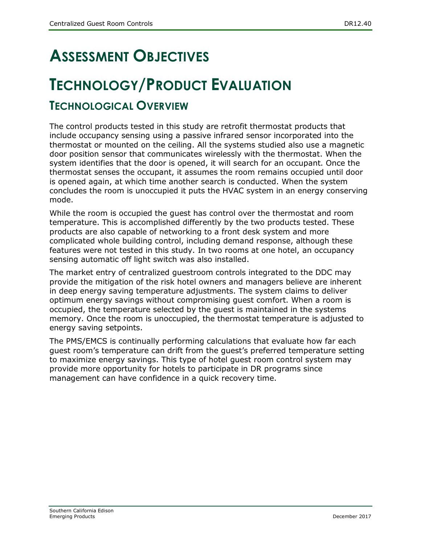# <span id="page-12-0"></span>**ASSESSMENT OBJECTIVES**

# <span id="page-12-1"></span>**TECHNOLOGY/PRODUCT EVALUATION**

### **TECHNOLOGICAL OVERVIEW**

The control products tested in this study are retrofit thermostat products that include occupancy sensing using a passive infrared sensor incorporated into the thermostat or mounted on the ceiling. All the systems studied also use a magnetic door position sensor that communicates wirelessly with the thermostat. When the system identifies that the door is opened, it will search for an occupant. Once the thermostat senses the occupant, it assumes the room remains occupied until door is opened again, at which time another search is conducted. When the system concludes the room is unoccupied it puts the HVAC system in an energy conserving mode.

While the room is occupied the guest has control over the thermostat and room temperature. This is accomplished differently by the two products tested. These products are also capable of networking to a front desk system and more complicated whole building control, including demand response, although these features were not tested in this study. In two rooms at one hotel, an occupancy sensing automatic off light switch was also installed.

The market entry of centralized guestroom controls integrated to the DDC may provide the mitigation of the risk hotel owners and managers believe are inherent in deep energy saving temperature adjustments. The system claims to deliver optimum energy savings without compromising guest comfort. When a room is occupied, the temperature selected by the guest is maintained in the systems memory. Once the room is unoccupied, the thermostat temperature is adjusted to energy saving setpoints.

The PMS/EMCS is continually performing calculations that evaluate how far each guest room's temperature can drift from the guest's preferred temperature setting to maximize energy savings. This type of hotel guest room control system may provide more opportunity for hotels to participate in DR programs since management can have confidence in a quick recovery time.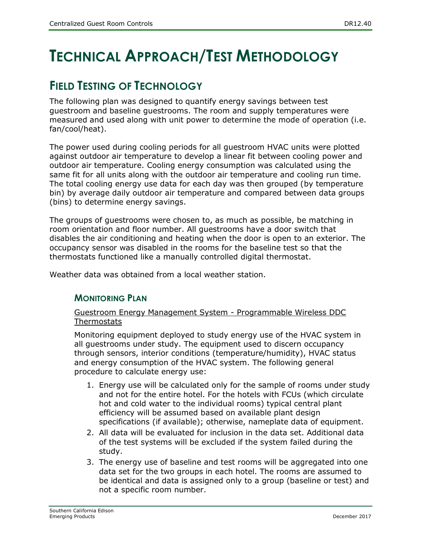# <span id="page-13-0"></span>**TECHNICAL APPROACH/TEST METHODOLOGY**

### <span id="page-13-1"></span>**FIELD TESTING OF TECHNOLOGY**

The following plan was designed to quantify energy savings between test guestroom and baseline guestrooms. The room and supply temperatures were measured and used along with unit power to determine the mode of operation (i.e. fan/cool/heat).

The power used during cooling periods for all guestroom HVAC units were plotted against outdoor air temperature to develop a linear fit between cooling power and outdoor air temperature. Cooling energy consumption was calculated using the same fit for all units along with the outdoor air temperature and cooling run time. The total cooling energy use data for each day was then grouped (by temperature bin) by average daily outdoor air temperature and compared between data groups (bins) to determine energy savings.

The groups of guestrooms were chosen to, as much as possible, be matching in room orientation and floor number. All guestrooms have a door switch that disables the air conditioning and heating when the door is open to an exterior. The occupancy sensor was disabled in the rooms for the baseline test so that the thermostats functioned like a manually controlled digital thermostat.

<span id="page-13-2"></span>Weather data was obtained from a local weather station.

#### **MONITORING PLAN**

#### Guestroom Energy Management System - Programmable Wireless DDC **Thermostats**

Monitoring equipment deployed to study energy use of the HVAC system in all guestrooms under study. The equipment used to discern occupancy through sensors, interior conditions (temperature/humidity), HVAC status and energy consumption of the HVAC system. The following general procedure to calculate energy use:

- 1. Energy use will be calculated only for the sample of rooms under study and not for the entire hotel. For the hotels with FCUs (which circulate hot and cold water to the individual rooms) typical central plant efficiency will be assumed based on available plant design specifications (if available); otherwise, nameplate data of equipment.
- 2. All data will be evaluated for inclusion in the data set. Additional data of the test systems will be excluded if the system failed during the study.
- 3. The energy use of baseline and test rooms will be aggregated into one data set for the two groups in each hotel. The rooms are assumed to be identical and data is assigned only to a group (baseline or test) and not a specific room number.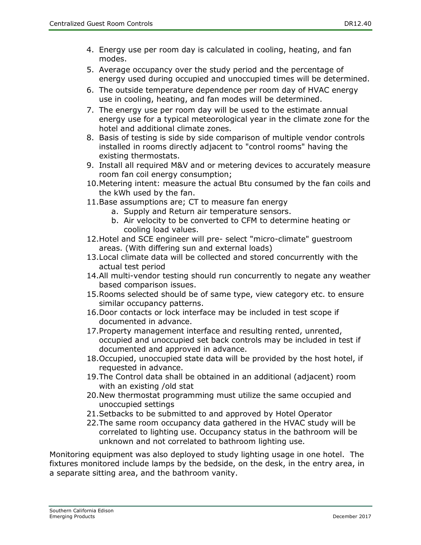- 4. Energy use per room day is calculated in cooling, heating, and fan modes.
- 5. Average occupancy over the study period and the percentage of energy used during occupied and unoccupied times will be determined.
- 6. The outside temperature dependence per room day of HVAC energy use in cooling, heating, and fan modes will be determined.
- 7. The energy use per room day will be used to the estimate annual energy use for a typical meteorological year in the climate zone for the hotel and additional climate zones.
- 8. Basis of testing is side by side comparison of multiple vendor controls installed in rooms directly adjacent to "control rooms" having the existing thermostats.
- 9. Install all required M&V and or metering devices to accurately measure room fan coil energy consumption;
- 10.Metering intent: measure the actual Btu consumed by the fan coils and the kWh used by the fan.
- 11.Base assumptions are; CT to measure fan energy
	- a. Supply and Return air temperature sensors.
		- b. Air velocity to be converted to CFM to determine heating or cooling load values.
- 12.Hotel and SCE engineer will pre- select "micro-climate" guestroom areas. (With differing sun and external loads)
- 13.Local climate data will be collected and stored concurrently with the actual test period
- 14.All multi-vendor testing should run concurrently to negate any weather based comparison issues.
- 15.Rooms selected should be of same type, view category etc. to ensure similar occupancy patterns.
- 16.Door contacts or lock interface may be included in test scope if documented in advance.
- 17.Property management interface and resulting rented, unrented, occupied and unoccupied set back controls may be included in test if documented and approved in advance.
- 18.Occupied, unoccupied state data will be provided by the host hotel, if requested in advance.
- 19.The Control data shall be obtained in an additional (adjacent) room with an existing /old stat
- 20.New thermostat programming must utilize the same occupied and unoccupied settings
- 21.Setbacks to be submitted to and approved by Hotel Operator
- 22.The same room occupancy data gathered in the HVAC study will be correlated to lighting use. Occupancy status in the bathroom will be unknown and not correlated to bathroom lighting use.

Monitoring equipment was also deployed to study lighting usage in one hotel. The fixtures monitored include lamps by the bedside, on the desk, in the entry area, in a separate sitting area, and the bathroom vanity.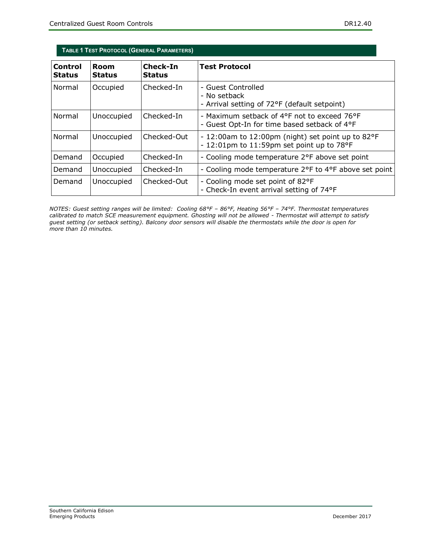<span id="page-15-0"></span>

| TABLE 1 TEST PROTOCOL (GENERAL PARAMETERS) |                       |                           |                                                                                                  |  |
|--------------------------------------------|-----------------------|---------------------------|--------------------------------------------------------------------------------------------------|--|
| Control<br><b>Status</b>                   | Room<br><b>Status</b> | Check-In<br><b>Status</b> | <b>Test Protocol</b>                                                                             |  |
| Normal                                     | Occupied              | Checked-In                | - Guest Controlled<br>- No setback<br>- Arrival setting of 72°F (default setpoint)               |  |
| Normal                                     | Unoccupied            | Checked-In                | - Maximum setback of 4°F not to exceed 76°F<br>- Guest Opt-In for time based setback of 4°F      |  |
| Normal                                     | Unoccupied            | Checked-Out               | - 12:00am to 12:00pm (night) set point up to 82°F<br>$-12:01$ pm to 11:59pm set point up to 78°F |  |
| Demand                                     | Occupied              | Checked-In                | - Cooling mode temperature 2°F above set point                                                   |  |
| Demand                                     | Unoccupied            | Checked-In                | - Cooling mode temperature 2°F to 4°F above set point                                            |  |
| Demand                                     | Unoccupied            | Checked-Out               | - Cooling mode set point of 82°F<br>- Check-In event arrival setting of 74°F                     |  |

*NOTES: Guest setting ranges will be limited: Cooling 68°F – 86°F, Heating 56°F – 74°F. Thermostat temperatures calibrated to match SCE measurement equipment. Ghosting will not be allowed - Thermostat will attempt to satisfy guest setting (or setback setting). Balcony door sensors will disable the thermostats while the door is open for more than 10 minutes.*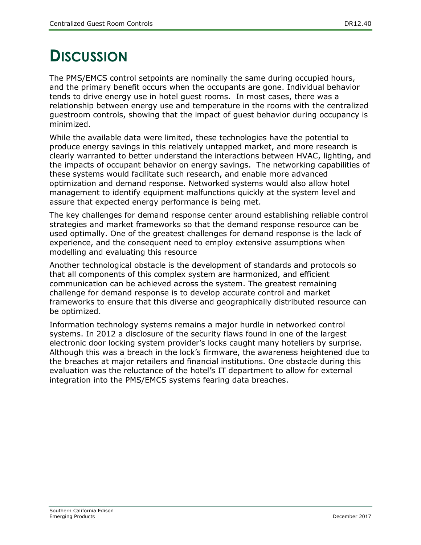# <span id="page-16-0"></span>**DISCUSSION**

The PMS/EMCS control setpoints are nominally the same during occupied hours, and the primary benefit occurs when the occupants are gone. Individual behavior tends to drive energy use in hotel guest rooms. In most cases, there was a relationship between energy use and temperature in the rooms with the centralized guestroom controls, showing that the impact of guest behavior during occupancy is minimized.

While the available data were limited, these technologies have the potential to produce energy savings in this relatively untapped market, and more research is clearly warranted to better understand the interactions between HVAC, lighting, and the impacts of occupant behavior on energy savings. The networking capabilities of these systems would facilitate such research, and enable more advanced optimization and demand response. Networked systems would also allow hotel management to identify equipment malfunctions quickly at the system level and assure that expected energy performance is being met.

The key challenges for demand response center around establishing reliable control strategies and market frameworks so that the demand response resource can be used optimally. One of the greatest challenges for demand response is the lack of experience, and the consequent need to employ extensive assumptions when modelling and evaluating this resource

Another technological obstacle is the development of standards and protocols so that all components of this complex system are harmonized, and efficient communication can be achieved across the system. The greatest remaining challenge for demand response is to develop accurate control and market frameworks to ensure that this diverse and geographically distributed resource can be optimized.

Information technology systems remains a major hurdle in networked control systems. In 2012 a disclosure of the security flaws found in one of the largest electronic door locking system provider's locks caught many hoteliers by surprise. Although this was a breach in the lock's firmware, the awareness heightened due to the breaches at major retailers and financial institutions. One obstacle during this evaluation was the reluctance of the hotel's IT department to allow for external integration into the PMS/EMCS systems fearing data breaches.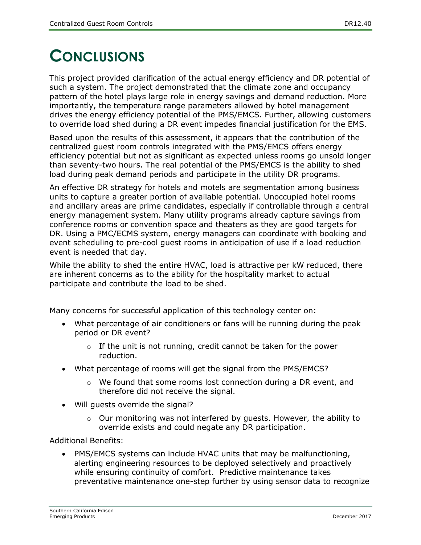# <span id="page-17-0"></span>**CONCLUSIONS**

This project provided clarification of the actual energy efficiency and DR potential of such a system. The project demonstrated that the climate zone and occupancy pattern of the hotel plays large role in energy savings and demand reduction. More importantly, the temperature range parameters allowed by hotel management drives the energy efficiency potential of the PMS/EMCS. Further, allowing customers to override load shed during a DR event impedes financial justification for the EMS.

Based upon the results of this assessment, it appears that the contribution of the centralized guest room controls integrated with the PMS/EMCS offers energy efficiency potential but not as significant as expected unless rooms go unsold longer than seventy-two hours. The real potential of the PMS/EMCS is the ability to shed load during peak demand periods and participate in the utility DR programs.

An effective DR strategy for hotels and motels are segmentation among business units to capture a greater portion of available potential. Unoccupied hotel rooms and ancillary areas are prime candidates, especially if controllable through a central energy management system. Many utility programs already capture savings from conference rooms or convention space and theaters as they are good targets for DR. Using a PMC/ECMS system, energy managers can coordinate with booking and event scheduling to pre-cool guest rooms in anticipation of use if a load reduction event is needed that day.

While the ability to shed the entire HVAC, load is attractive per kW reduced, there are inherent concerns as to the ability for the hospitality market to actual participate and contribute the load to be shed.

Many concerns for successful application of this technology center on:

- What percentage of air conditioners or fans will be running during the peak period or DR event?
	- $\circ$  If the unit is not running, credit cannot be taken for the power reduction.
- What percentage of rooms will get the signal from the PMS/EMCS?
	- o We found that some rooms lost connection during a DR event, and therefore did not receive the signal.
- Will guests override the signal?
	- $\circ$  Our monitoring was not interfered by guests. However, the ability to override exists and could negate any DR participation.

Additional Benefits:

 PMS/EMCS systems can include HVAC units that may be malfunctioning, alerting engineering resources to be deployed selectively and proactively while ensuring continuity of comfort. Predictive maintenance takes preventative maintenance one-step further by using sensor data to recognize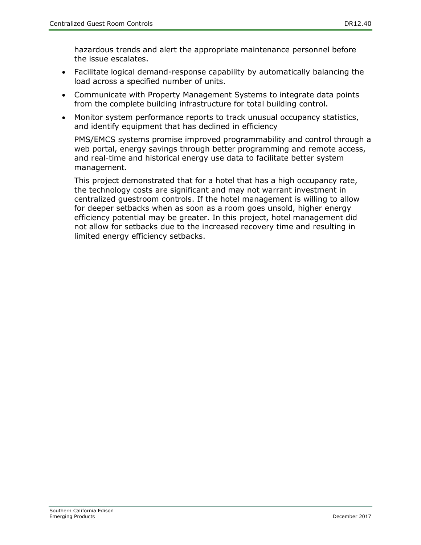hazardous trends and alert the appropriate maintenance personnel before the issue escalates.

- Facilitate logical demand-response capability by automatically balancing the load across a specified number of units.
- Communicate with Property Management Systems to integrate data points from the complete building infrastructure for total building control.
- Monitor system performance reports to track unusual occupancy statistics, and identify equipment that has declined in efficiency

PMS/EMCS systems promise improved programmability and control through a web portal, energy savings through better programming and remote access, and real-time and historical energy use data to facilitate better system management.

This project demonstrated that for a hotel that has a high occupancy rate, the technology costs are significant and may not warrant investment in centralized guestroom controls. If the hotel management is willing to allow for deeper setbacks when as soon as a room goes unsold, higher energy efficiency potential may be greater. In this project, hotel management did not allow for setbacks due to the increased recovery time and resulting in limited energy efficiency setbacks.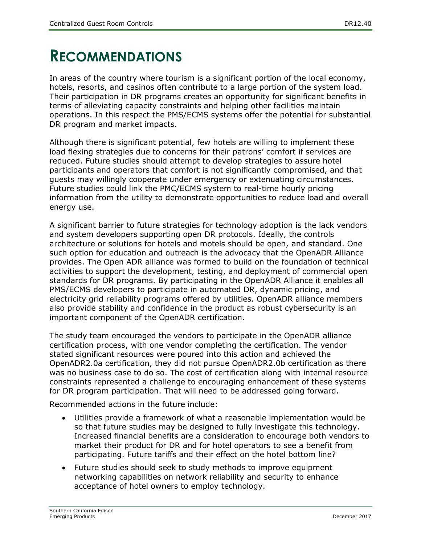## <span id="page-19-0"></span>**RECOMMENDATIONS**

In areas of the country where tourism is a significant portion of the local economy, hotels, resorts, and casinos often contribute to a large portion of the system load. Their participation in DR programs creates an opportunity for significant benefits in terms of alleviating capacity constraints and helping other facilities maintain operations. In this respect the PMS/ECMS systems offer the potential for substantial DR program and market impacts.

Although there is significant potential, few hotels are willing to implement these load flexing strategies due to concerns for their patrons' comfort if services are reduced. Future studies should attempt to develop strategies to assure hotel participants and operators that comfort is not significantly compromised, and that guests may willingly cooperate under emergency or extenuating circumstances. Future studies could link the PMC/ECMS system to real-time hourly pricing information from the utility to demonstrate opportunities to reduce load and overall energy use.

A significant barrier to future strategies for technology adoption is the lack vendors and system developers supporting open DR protocols. Ideally, the controls architecture or solutions for hotels and motels should be open, and standard. One such option for education and outreach is the advocacy that the OpenADR Alliance provides. The Open ADR alliance was formed to build on the foundation of technical activities to support the development, testing, and deployment of commercial open standards for DR programs. By participating in the OpenADR Alliance it enables all PMS/ECMS developers to participate in automated DR, dynamic pricing, and electricity grid reliability programs offered by utilities. OpenADR alliance members also provide stability and confidence in the product as robust cybersecurity is an important component of the OpenADR certification.

The study team encouraged the vendors to participate in the OpenADR alliance certification process, with one vendor completing the certification. The vendor stated significant resources were poured into this action and achieved the OpenADR2.0a certification, they did not pursue OpenADR2.0b certification as there was no business case to do so. The cost of certification along with internal resource constraints represented a challenge to encouraging enhancement of these systems for DR program participation. That will need to be addressed going forward.

Recommended actions in the future include:

- Utilities provide a framework of what a reasonable implementation would be so that future studies may be designed to fully investigate this technology. Increased financial benefits are a consideration to encourage both vendors to market their product for DR and for hotel operators to see a benefit from participating. Future tariffs and their effect on the hotel bottom line?
- Future studies should seek to study methods to improve equipment networking capabilities on network reliability and security to enhance acceptance of hotel owners to employ technology.